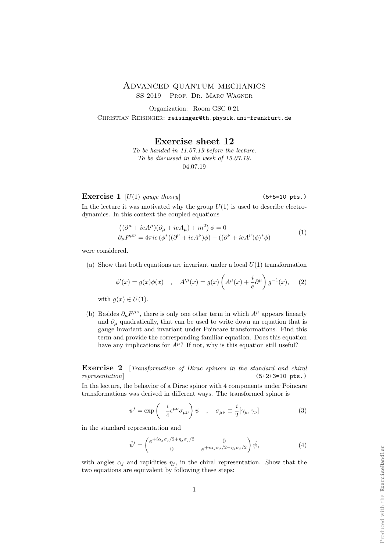Produced with the ExerciseHandler

## Advanced quantum mechanics

SS 2019 – Prof. Dr. Marc Wagner

Organization: Room GSC 0|21 CHRISTIAN REISINGER: reisinger@th.physik.uni-frankfurt.de

Exercise sheet 12

To be handed in 11.07.19 before the lecture. To be discussed in the week of 15.07.19. 04.07.19

Exercise 1  $[U(1)$  gauge theory (5+5=10 pts.)

In the lecture it was motivated why the group  $U(1)$  is used to describe electrodynamics. In this context the coupled equations

$$
((\partial^{\mu} + ieA^{\mu})(\partial_{\mu} + ieA_{\mu}) + m^{2}) \phi = 0
$$
  
\n
$$
\partial_{\mu}F^{\mu\nu} = 4\pi ie(\phi^{*}((\partial^{\nu} + ieA^{\nu})\phi) - ((\partial^{\nu} + ieA^{\nu})\phi)^{*}\phi)
$$
\n(1)

were considered.

(a) Show that both equations are invariant under a local  $U(1)$  transformation

$$
\phi'(x) = g(x)\phi(x)
$$
,  $A''^{(\mu)}(x) = g(x)\left(A^{\mu}(x) + \frac{i}{e}\partial^{\mu}\right)g^{-1}(x)$ , (2)

with  $g(x) \in U(1)$ .

(b) Besides  $\partial_{\mu}F^{\mu\nu}$ , there is only one other term in which  $A^{\mu}$  appears linearly and  $\partial_{\mu}$  quadratically, that can be used to write down an equation that is gauge invariant and invariant under Poincare transformations. Find this term and provide the corresponding familiar equation. Does this equation have any implications for  $A^{\mu}$ ? If not, why is this equation still useful?

Exercise 2 [Transformation of Dirac spinors in the standard and chiral representation  $(5+2+3=10 \text{ pts.})$ 

In the lecture, the behavior of a Dirac spinor with 4 components under Poincare transformations was derived in different ways. The transformed spinor is

<span id="page-0-0"></span>
$$
\psi' = \exp\left(-\frac{i}{4}\epsilon^{\mu\nu}\sigma_{\mu\nu}\right)\psi \quad , \quad \sigma_{\mu\nu} \equiv \frac{i}{2}[\gamma_{\mu}, \gamma_{\nu}] \tag{3}
$$

in the standard representation and

<span id="page-0-1"></span>
$$
\tilde{\psi}' = \begin{pmatrix} e^{+i\alpha_j \sigma_j/2 + \eta_j \sigma_j/2} & 0\\ 0 & e^{+i\alpha_j \sigma_j/2 - \eta_j \sigma_j/2} \end{pmatrix} \tilde{\psi},\tag{4}
$$

with angles  $\alpha_i$  and rapidities  $\eta_i$ , in the chiral representation. Show that the two equations are equivalent by following these steps: